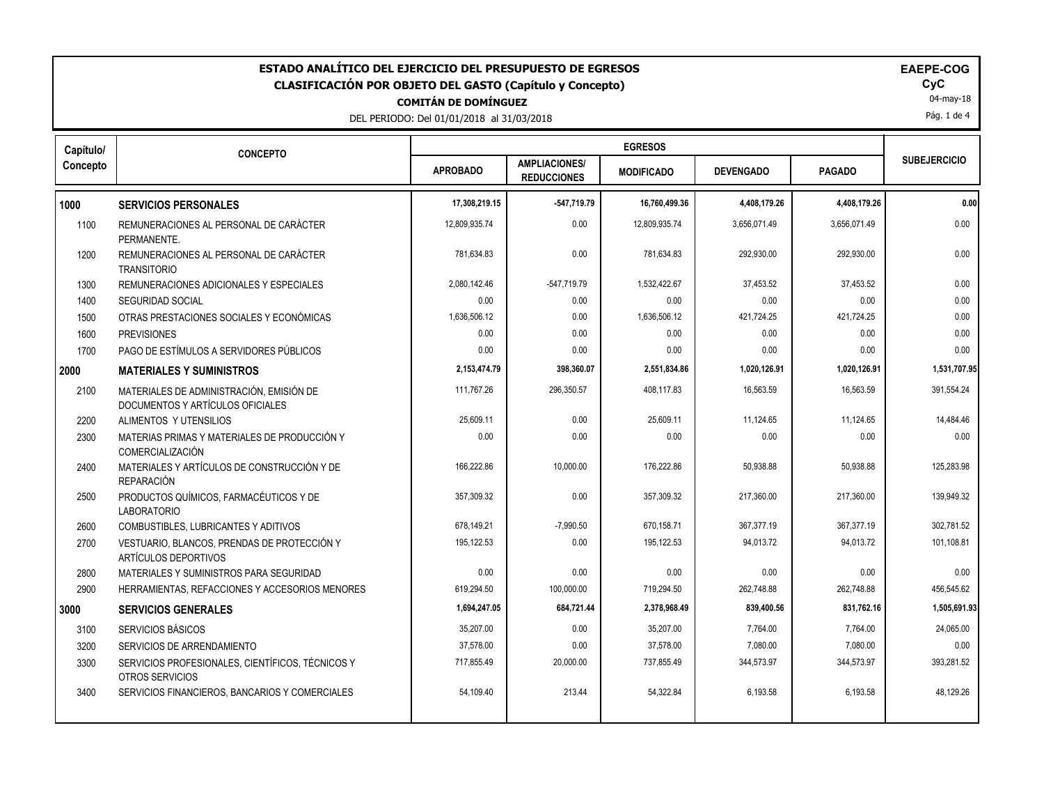| ESTADO ANALÍTICO DEL EJERCICIO DEL PRESUPUESTO DE EGRESOS<br><b>EAEPE-COG</b><br>CyC<br><b>CLASIFICACIÓN POR OBJETO DEL GASTO (Capítulo y Concepto)</b><br>04-may-18<br><b>COMITÁN DE DOMÍNGUEZ</b><br>Pág. 1 de 4<br>DEL PERIODO: Del 01/01/2018 al 31/03/2018 |                                                                              |                 |                                            |                   |                  |               |                     |
|-----------------------------------------------------------------------------------------------------------------------------------------------------------------------------------------------------------------------------------------------------------------|------------------------------------------------------------------------------|-----------------|--------------------------------------------|-------------------|------------------|---------------|---------------------|
| Capítulo/                                                                                                                                                                                                                                                       | <b>CONCEPTO</b>                                                              |                 |                                            | <b>EGRESOS</b>    |                  |               | <b>SUBEJERCICIO</b> |
| Concepto                                                                                                                                                                                                                                                        |                                                                              | <b>APROBADO</b> | <b>AMPLIACIONES/</b><br><b>REDUCCIONES</b> | <b>MODIFICADO</b> | <b>DEVENGADO</b> | <b>PAGADO</b> |                     |
| 1000                                                                                                                                                                                                                                                            | <b>SERVICIOS PERSONALES</b>                                                  | 17,308,219.15   | -547,719.79                                | 16,760,499.36     | 4,408,179.26     | 4,408,179.26  | 0.00                |
| 1100                                                                                                                                                                                                                                                            | REMUNERACIONES AL PERSONAL DE CARÁCTER<br>PERMANENTE.                        | 12,809,935.74   | 0.00                                       | 12,809,935.74     | 3,656,071.49     | 3,656,071.49  | 0.00                |
| 1200                                                                                                                                                                                                                                                            | REMUNERACIONES AL PERSONAL DE CARÁCTER<br><b>TRANSITORIO</b>                 | 781,634.83      | 0.00                                       | 781,634.83        | 292,930.00       | 292,930.00    | 0.00                |
| 1300                                                                                                                                                                                                                                                            | REMUNERACIONES ADICIONALES Y ESPECIALES                                      | 2,080,142.46    | $-547,719.79$                              | 1,532,422.67      | 37,453.52        | 37,453.52     | 0.00                |
| 1400                                                                                                                                                                                                                                                            | <b>SEGURIDAD SOCIAL</b>                                                      | 0.00            | 0.00                                       | 0.00              | 0.00             | 0.00          | 0.00                |
| 1500                                                                                                                                                                                                                                                            | OTRAS PRESTACIONES SOCIALES Y ECONÓMICAS                                     | 1,636,506.12    | 0.00                                       | 1,636,506.12      | 421,724.25       | 421,724.25    | 0.00                |
| 1600                                                                                                                                                                                                                                                            | <b>PREVISIONES</b>                                                           | 0.00            | 0.00                                       | 0.00              | 0.00             | 0.00          | 0.00                |
| 1700                                                                                                                                                                                                                                                            | PAGO DE ESTÍMULOS A SERVIDORES PÚBLICOS                                      | 0.00            | 0.00                                       | 0.00              | 0.00             | 0.00          | 0.00                |
| 2000                                                                                                                                                                                                                                                            | <b>MATERIALES Y SUMINISTROS</b>                                              | 2,153,474.79    | 398,360.07                                 | 2,551,834.86      | 1,020,126.91     | 1,020,126.91  | 1,531,707.95        |
| 2100                                                                                                                                                                                                                                                            | MATERIALES DE ADMINISTRACIÓN, EMISIÓN DE<br>DOCUMENTOS Y ARTÍCULOS OFICIALES | 111.767.26      | 296.350.57                                 | 408.117.83        | 16.563.59        | 16.563.59     | 391.554.24          |
| 2200                                                                                                                                                                                                                                                            | ALIMENTOS Y UTENSILIOS                                                       | 25,609.11       | 0.00                                       | 25,609.11         | 11,124.65        | 11,124.65     | 14,484.46           |
| 2300                                                                                                                                                                                                                                                            | MATERIAS PRIMAS Y MATERIALES DE PRODUCCIÓN Y<br><b>COMERCIALIZACIÓN</b>      | 0.00            | 0.00                                       | 0.00              | 0.00             | 0.00          | 0.00                |
| 2400                                                                                                                                                                                                                                                            | MATERIALES Y ARTÍCULOS DE CONSTRUCCIÓN Y DE<br><b>REPARACIÓN</b>             | 166,222.86      | 10,000.00                                  | 176,222.86        | 50,938.88        | 50,938.88     | 125,283.98          |
| 2500                                                                                                                                                                                                                                                            | PRODUCTOS QUÍMICOS, FARMACÉUTICOS Y DE<br><b>LABORATORIO</b>                 | 357.309.32      | 0.00                                       | 357.309.32        | 217.360.00       | 217.360.00    | 139.949.32          |
| 2600                                                                                                                                                                                                                                                            | COMBUSTIBLES, LUBRICANTES Y ADITIVOS                                         | 678,149.21      | $-7,990.50$                                | 670,158.71        | 367,377.19       | 367,377.19    | 302,781.52          |
| 2700                                                                                                                                                                                                                                                            | VESTUARIO, BLANCOS, PRENDAS DE PROTECCIÓN Y<br><b>ARTÍCULOS DEPORTIVOS</b>   | 195,122.53      | 0.00                                       | 195,122.53        | 94,013.72        | 94,013.72     | 101,108.81          |
| 2800                                                                                                                                                                                                                                                            | MATERIALES Y SUMINISTROS PARA SEGURIDAD                                      | 0.00            | 0.00                                       | 0.00              | 0.00             | 0.00          | 0.00                |
| 2900                                                                                                                                                                                                                                                            | HERRAMIENTAS, REFACCIONES Y ACCESORIOS MENORES                               | 619,294.50      | 100,000.00                                 | 719,294.50        | 262,748.88       | 262,748.88    | 456,545.62          |
| 3000                                                                                                                                                                                                                                                            | <b>SERVICIOS GENERALES</b>                                                   | 1,694,247.05    | 684,721.44                                 | 2,378,968.49      | 839,400.56       | 831,762.16    | 1,505,691.93        |
| 3100                                                                                                                                                                                                                                                            | SERVICIOS BÁSICOS                                                            | 35,207.00       | 0.00                                       | 35,207.00         | 7,764.00         | 7,764.00      | 24,065.00           |
| 3200                                                                                                                                                                                                                                                            | SERVICIOS DE ARRENDAMIENTO                                                   | 37,578.00       | 0.00                                       | 37,578.00         | 7,080.00         | 7,080.00      | 0.00                |
| 3300                                                                                                                                                                                                                                                            | SERVICIOS PROFESIONALES, CIENTÍFICOS, TÉCNICOS Y<br>OTROS SERVICIOS          | 717,855.49      | 20,000.00                                  | 737,855.49        | 344,573.97       | 344,573.97    | 393,281.52          |
| 3400                                                                                                                                                                                                                                                            | SERVICIOS FINANCIEROS, BANCARIOS Y COMERCIALES                               | 54,109.40       | 213.44                                     | 54,322.84         | 6,193.58         | 6,193.58      | 48,129.26           |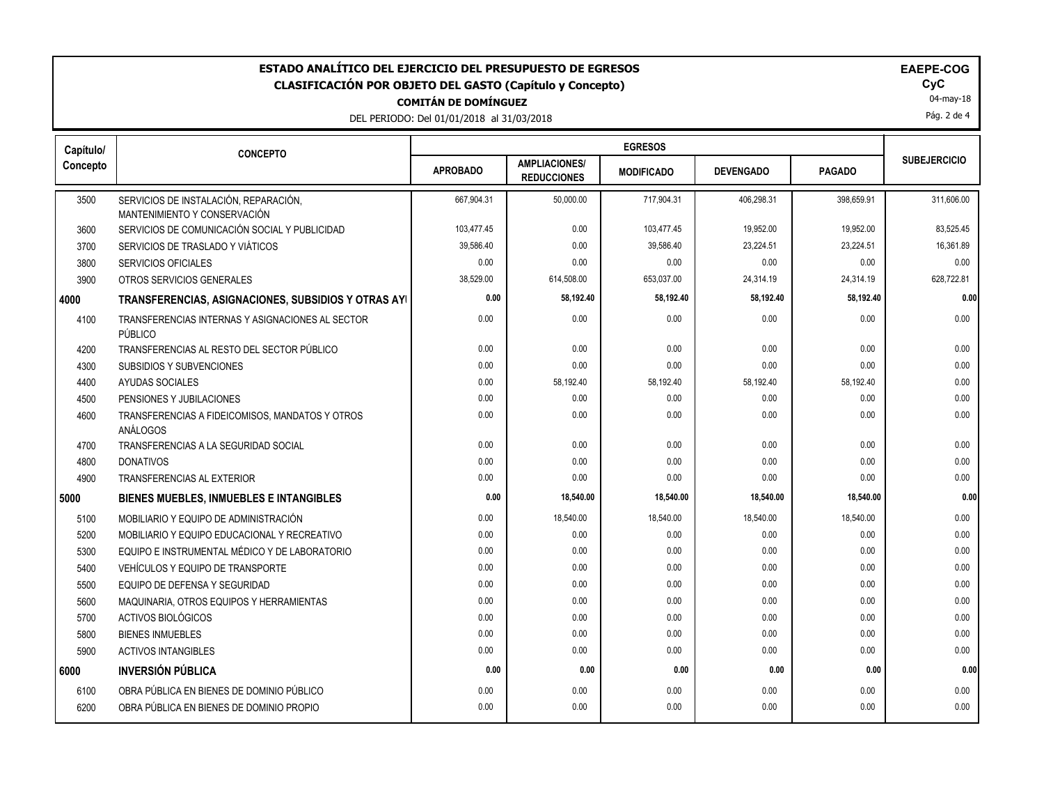| ESTADO ANALÍTICO DEL EJERCICIO DEL PRESUPUESTO DE EGRESOS<br><b>EAEPE-COG</b><br>CyC<br><b>CLASIFICACIÓN POR OBJETO DEL GASTO (Capítulo y Concepto)</b><br>04-may-18<br><b>COMITÁN DE DOMÍNGUEZ</b><br>Pág. 2 de 4<br>DEL PERIODO: Del 01/01/2018 al 31/03/2018 |                                                                       |                 |                                            |                   |                  |               |                     |
|-----------------------------------------------------------------------------------------------------------------------------------------------------------------------------------------------------------------------------------------------------------------|-----------------------------------------------------------------------|-----------------|--------------------------------------------|-------------------|------------------|---------------|---------------------|
| Capítulo/                                                                                                                                                                                                                                                       | <b>CONCEPTO</b>                                                       |                 |                                            |                   |                  |               |                     |
| Concepto                                                                                                                                                                                                                                                        |                                                                       | <b>APROBADO</b> | <b>AMPLIACIONES/</b><br><b>REDUCCIONES</b> | <b>MODIFICADO</b> | <b>DEVENGADO</b> | <b>PAGADO</b> | <b>SUBEJERCICIO</b> |
| 3500                                                                                                                                                                                                                                                            | SERVICIOS DE INSTALACIÓN, REPARACIÓN,<br>MANTENIMIENTO Y CONSERVACIÓN | 667,904.31      | 50,000.00                                  | 717,904.31        | 406,298.31       | 398,659.91    | 311,606.00          |
| 3600                                                                                                                                                                                                                                                            | SERVICIOS DE COMUNICACIÓN SOCIAL Y PUBLICIDAD                         | 103,477.45      | 0.00                                       | 103,477.45        | 19,952.00        | 19,952.00     | 83,525.45           |
| 3700                                                                                                                                                                                                                                                            | SERVICIOS DE TRASLADO Y VIÁTICOS                                      | 39,586.40       | 0.00                                       | 39,586.40         | 23,224.51        | 23,224.51     | 16,361.89           |
| 3800                                                                                                                                                                                                                                                            | <b>SERVICIOS OFICIALES</b>                                            | 0.00            | 0.00                                       | 0.00              | 0.00             | 0.00          | 0.00                |
| 3900                                                                                                                                                                                                                                                            | OTROS SERVICIOS GENERALES                                             | 38,529.00       | 614,508.00                                 | 653,037.00        | 24,314.19        | 24,314.19     | 628,722.81          |
| 4000                                                                                                                                                                                                                                                            | TRANSFERENCIAS, ASIGNACIONES, SUBSIDIOS Y OTRAS AYI                   | 0.00            | 58,192.40                                  | 58,192.40         | 58,192.40        | 58,192.40     | 0.00                |
| 4100                                                                                                                                                                                                                                                            | TRANSFERENCIAS INTERNAS Y ASIGNACIONES AL SECTOR<br>PÚBLICO           | 0.00            | 0.00                                       | 0.00              | 0.00             | 0.00          | 0.00                |
| 4200                                                                                                                                                                                                                                                            | TRANSFERENCIAS AL RESTO DEL SECTOR PÚBLICO                            | 0.00            | 0.00                                       | 0.00              | 0.00             | 0.00          | 0.00                |
| 4300                                                                                                                                                                                                                                                            | SUBSIDIOS Y SUBVENCIONES                                              | 0.00            | 0.00                                       | 0.00              | 0.00             | 0.00          | 0.00                |
| 4400                                                                                                                                                                                                                                                            | <b>AYUDAS SOCIALES</b>                                                | 0.00            | 58,192.40                                  | 58,192.40         | 58,192.40        | 58,192.40     | 0.00                |
| 4500                                                                                                                                                                                                                                                            | PENSIONES Y JUBILACIONES                                              | 0.00            | 0.00                                       | 0.00              | 0.00             | 0.00          | 0.00                |
| 4600                                                                                                                                                                                                                                                            | TRANSFERENCIAS A FIDEICOMISOS, MANDATOS Y OTROS<br>ANÁLOGOS           | 0.00            | 0.00                                       | 0.00              | 0.00             | 0.00          | 0.00                |
| 4700                                                                                                                                                                                                                                                            | TRANSFERENCIAS A LA SEGURIDAD SOCIAL                                  | 0.00            | 0.00                                       | 0.00              | 0.00             | 0.00          | 0.00                |
| 4800                                                                                                                                                                                                                                                            | <b>DONATIVOS</b>                                                      | 0.00            | 0.00                                       | 0.00              | 0.00             | 0.00          | 0.00                |
| 4900                                                                                                                                                                                                                                                            | <b>TRANSFERENCIAS AL EXTERIOR</b>                                     | 0.00            | 0.00                                       | 0.00              | 0.00             | 0.00          | 0.00                |
| 5000                                                                                                                                                                                                                                                            | BIENES MUEBLES, INMUEBLES E INTANGIBLES                               | 0.00            | 18,540.00                                  | 18,540.00         | 18,540.00        | 18,540.00     | 0.00                |
| 5100                                                                                                                                                                                                                                                            | MOBILIARIO Y EQUIPO DE ADMINISTRACIÓN                                 | 0.00            | 18,540.00                                  | 18,540.00         | 18,540.00        | 18,540.00     | 0.00                |
| 5200                                                                                                                                                                                                                                                            | MOBILIARIO Y EQUIPO EDUCACIONAL Y RECREATIVO                          | 0.00            | 0.00                                       | 0.00              | 0.00             | 0.00          | 0.00                |
| 5300                                                                                                                                                                                                                                                            | EQUIPO E INSTRUMENTAL MÉDICO Y DE LABORATORIO                         | 0.00            | 0.00                                       | 0.00              | 0.00             | 0.00          | 0.00                |
| 5400                                                                                                                                                                                                                                                            | VEHÍCULOS Y EQUIPO DE TRANSPORTE                                      | 0.00            | 0.00                                       | 0.00              | 0.00             | 0.00          | 0.00                |
| 5500                                                                                                                                                                                                                                                            | EQUIPO DE DEFENSA Y SEGURIDAD                                         | 0.00            | 0.00                                       | 0.00              | 0.00             | 0.00          | 0.00                |
| 5600                                                                                                                                                                                                                                                            | MAQUINARIA, OTROS EQUIPOS Y HERRAMIENTAS                              | 0.00            | 0.00                                       | 0.00              | 0.00             | 0.00          | 0.00                |
| 5700                                                                                                                                                                                                                                                            | <b>ACTIVOS BIOLÓGICOS</b>                                             | 0.00            | 0.00                                       | 0.00              | 0.00             | 0.00          | 0.00                |
| 5800                                                                                                                                                                                                                                                            | <b>BIENES INMUEBLES</b>                                               | 0.00            | 0.00                                       | 0.00              | 0.00             | 0.00          | 0.00                |
| 5900                                                                                                                                                                                                                                                            | <b>ACTIVOS INTANGIBLES</b>                                            | 0.00            | 0.00                                       | 0.00              | 0.00             | 0.00          | 0.00                |
| 6000                                                                                                                                                                                                                                                            | <b>INVERSIÓN PÚBLICA</b>                                              | 0.00            | 0.00                                       | 0.00              | 0.00             | 0.00          | 0.00                |
| 6100                                                                                                                                                                                                                                                            | OBRA PÚBLICA EN BIENES DE DOMINIO PÚBLICO                             | 0.00            | 0.00                                       | 0.00              | 0.00             | 0.00          | 0.00                |
| 6200                                                                                                                                                                                                                                                            | OBRA PÚBLICA EN BIENES DE DOMINIO PROPIO                              | 0.00            | 0.00                                       | 0.00              | 0.00             | 0.00          | 0.00                |
|                                                                                                                                                                                                                                                                 |                                                                       |                 |                                            |                   |                  |               |                     |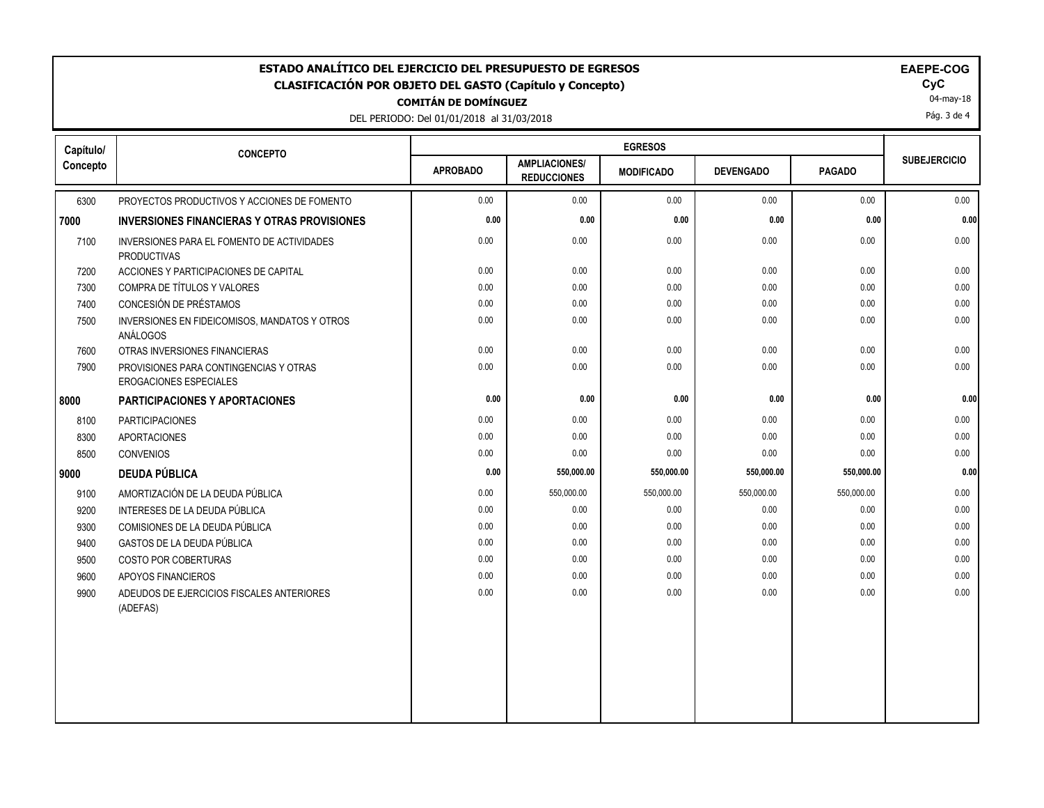| <b>EGRESOS</b><br>Capítulo/<br><b>CONCEPTO</b><br><b>SUBEJERCICIO</b><br><b>AMPLIACIONES/</b><br><b>APROBADO</b><br><b>PAGADO</b><br><b>DEVENGADO</b><br><b>MODIFICADO</b><br><b>REDUCCIONES</b><br>0.00<br>0.00<br>0.00<br>6300<br>PROYECTOS PRODUCTIVOS Y ACCIONES DE FOMENTO<br>0.00<br>0.00<br>0.00<br>0.00<br>0.00<br>0.00<br>0.00<br>0.00<br><b>INVERSIONES FINANCIERAS Y OTRAS PROVISIONES</b><br>0.00<br>0.00<br>0.00<br>0.00<br>0.00<br>0.00<br>7100<br>INVERSIONES PARA EL FOMENTO DE ACTIVIDADES<br><b>PRODUCTIVAS</b><br>7200<br>ACCIONES Y PARTICIPACIONES DE CAPITAL<br>0.00<br>0.00<br>0.00<br>0.00<br>0.00<br>0.00<br>COMPRA DE TÍTULOS Y VALORES<br>0.00<br>0.00<br>0.00<br>0.00<br>0.00<br>0.00<br>7300<br>CONCESIÓN DE PRÉSTAMOS<br>7400<br>0.00<br>0.00<br>0.00<br>0.00<br>0.00<br>0.00<br>0.00<br>0.00<br>0.00<br>0.00<br>0.00<br>0.00<br>7500<br>INVERSIONES EN FIDEICOMISOS, MANDATOS Y OTROS<br><b>ANÁLOGOS</b><br>0.00<br>0.00<br>0.00<br>0.00<br>0.00<br>0.00<br>7600<br>OTRAS INVERSIONES FINANCIERAS<br>7900<br>0.00<br>0.00<br>0.00<br>0.00<br>0.00<br>0.00<br>PROVISIONES PARA CONTINGENCIAS Y OTRAS<br>EROGACIONES ESPECIALES<br>0.00<br>0.00<br>0.00<br>0.00<br>0.00<br><b>PARTICIPACIONES Y APORTACIONES</b><br>8100<br><b>PARTICIPACIONES</b><br>0.00<br>0.00<br>0.00<br>0.00<br>$0.00\,$<br>$0.00\,$<br>0.00<br>0.00<br>0.00<br>0.00<br>0.00<br>0.00<br>8300<br><b>APORTACIONES</b><br>0.00<br>0.00<br>8500<br><b>CONVENIOS</b><br>0.00<br>0.00<br>0.00<br>0.00<br>0.00<br>550,000.00<br>550,000.00<br><b>DEUDA PÚBLICA</b><br>550,000.00<br>550,000.00<br>AMORTIZACIÓN DE LA DEUDA PÚBLICA<br>0.00<br>550,000.00<br>550,000.00<br>550,000.00<br>550,000.00<br>0.00<br>9100<br>9200<br>INTERESES DE LA DEUDA PÚBLICA<br>0.00<br>0.00<br>0.00<br>0.00<br>0.00<br>0.00<br>0.00<br>0.00<br>0.00<br>9300<br>COMISIONES DE LA DEUDA PÚBLICA<br>0.00<br>0.00<br>0.00<br>9400<br>GASTOS DE LA DEUDA PÚBLICA<br>0.00<br>0.00<br>0.00<br>0.00<br>0.00<br>0.00<br>0.00<br>0.00<br>0.00<br>0.00<br>0.00<br>9500<br>COSTO POR COBERTURAS<br>0.00<br>9600<br>0.00<br>0.00<br>0.00<br>0.00<br>0.00<br>0.00<br>APOYOS FINANCIEROS<br>0.00<br>0.00<br>0.00<br>0.00<br>0.00<br>0.00<br>9900<br>ADEUDOS DE EJERCICIOS FISCALES ANTERIORES<br>(ADEFAS) | ESTADO ANALÍTICO DEL EJERCICIO DEL PRESUPUESTO DE EGRESOS<br>EAEPE-COG<br>CyC<br><b>CLASIFICACIÓN POR OBJETO DEL GASTO (Capítulo y Concepto)</b><br>04-may-18<br><b>COMITÁN DE DOMÍNGUEZ</b><br>Pág. 3 de 4<br>DEL PERIODO: Del 01/01/2018 al 31/03/2018 |  |  |  |  |  |  |      |
|------------------------------------------------------------------------------------------------------------------------------------------------------------------------------------------------------------------------------------------------------------------------------------------------------------------------------------------------------------------------------------------------------------------------------------------------------------------------------------------------------------------------------------------------------------------------------------------------------------------------------------------------------------------------------------------------------------------------------------------------------------------------------------------------------------------------------------------------------------------------------------------------------------------------------------------------------------------------------------------------------------------------------------------------------------------------------------------------------------------------------------------------------------------------------------------------------------------------------------------------------------------------------------------------------------------------------------------------------------------------------------------------------------------------------------------------------------------------------------------------------------------------------------------------------------------------------------------------------------------------------------------------------------------------------------------------------------------------------------------------------------------------------------------------------------------------------------------------------------------------------------------------------------------------------------------------------------------------------------------------------------------------------------------------------------------------------------------------------------------------------------------------------------------------------------------------------------------------------------------------------------------------|----------------------------------------------------------------------------------------------------------------------------------------------------------------------------------------------------------------------------------------------------------|--|--|--|--|--|--|------|
|                                                                                                                                                                                                                                                                                                                                                                                                                                                                                                                                                                                                                                                                                                                                                                                                                                                                                                                                                                                                                                                                                                                                                                                                                                                                                                                                                                                                                                                                                                                                                                                                                                                                                                                                                                                                                                                                                                                                                                                                                                                                                                                                                                                                                                                                        |                                                                                                                                                                                                                                                          |  |  |  |  |  |  |      |
|                                                                                                                                                                                                                                                                                                                                                                                                                                                                                                                                                                                                                                                                                                                                                                                                                                                                                                                                                                                                                                                                                                                                                                                                                                                                                                                                                                                                                                                                                                                                                                                                                                                                                                                                                                                                                                                                                                                                                                                                                                                                                                                                                                                                                                                                        | Concepto                                                                                                                                                                                                                                                 |  |  |  |  |  |  |      |
|                                                                                                                                                                                                                                                                                                                                                                                                                                                                                                                                                                                                                                                                                                                                                                                                                                                                                                                                                                                                                                                                                                                                                                                                                                                                                                                                                                                                                                                                                                                                                                                                                                                                                                                                                                                                                                                                                                                                                                                                                                                                                                                                                                                                                                                                        |                                                                                                                                                                                                                                                          |  |  |  |  |  |  |      |
|                                                                                                                                                                                                                                                                                                                                                                                                                                                                                                                                                                                                                                                                                                                                                                                                                                                                                                                                                                                                                                                                                                                                                                                                                                                                                                                                                                                                                                                                                                                                                                                                                                                                                                                                                                                                                                                                                                                                                                                                                                                                                                                                                                                                                                                                        | 7000                                                                                                                                                                                                                                                     |  |  |  |  |  |  | 0.00 |
|                                                                                                                                                                                                                                                                                                                                                                                                                                                                                                                                                                                                                                                                                                                                                                                                                                                                                                                                                                                                                                                                                                                                                                                                                                                                                                                                                                                                                                                                                                                                                                                                                                                                                                                                                                                                                                                                                                                                                                                                                                                                                                                                                                                                                                                                        |                                                                                                                                                                                                                                                          |  |  |  |  |  |  |      |
|                                                                                                                                                                                                                                                                                                                                                                                                                                                                                                                                                                                                                                                                                                                                                                                                                                                                                                                                                                                                                                                                                                                                                                                                                                                                                                                                                                                                                                                                                                                                                                                                                                                                                                                                                                                                                                                                                                                                                                                                                                                                                                                                                                                                                                                                        |                                                                                                                                                                                                                                                          |  |  |  |  |  |  |      |
|                                                                                                                                                                                                                                                                                                                                                                                                                                                                                                                                                                                                                                                                                                                                                                                                                                                                                                                                                                                                                                                                                                                                                                                                                                                                                                                                                                                                                                                                                                                                                                                                                                                                                                                                                                                                                                                                                                                                                                                                                                                                                                                                                                                                                                                                        |                                                                                                                                                                                                                                                          |  |  |  |  |  |  |      |
|                                                                                                                                                                                                                                                                                                                                                                                                                                                                                                                                                                                                                                                                                                                                                                                                                                                                                                                                                                                                                                                                                                                                                                                                                                                                                                                                                                                                                                                                                                                                                                                                                                                                                                                                                                                                                                                                                                                                                                                                                                                                                                                                                                                                                                                                        |                                                                                                                                                                                                                                                          |  |  |  |  |  |  |      |
|                                                                                                                                                                                                                                                                                                                                                                                                                                                                                                                                                                                                                                                                                                                                                                                                                                                                                                                                                                                                                                                                                                                                                                                                                                                                                                                                                                                                                                                                                                                                                                                                                                                                                                                                                                                                                                                                                                                                                                                                                                                                                                                                                                                                                                                                        |                                                                                                                                                                                                                                                          |  |  |  |  |  |  |      |
|                                                                                                                                                                                                                                                                                                                                                                                                                                                                                                                                                                                                                                                                                                                                                                                                                                                                                                                                                                                                                                                                                                                                                                                                                                                                                                                                                                                                                                                                                                                                                                                                                                                                                                                                                                                                                                                                                                                                                                                                                                                                                                                                                                                                                                                                        |                                                                                                                                                                                                                                                          |  |  |  |  |  |  |      |
|                                                                                                                                                                                                                                                                                                                                                                                                                                                                                                                                                                                                                                                                                                                                                                                                                                                                                                                                                                                                                                                                                                                                                                                                                                                                                                                                                                                                                                                                                                                                                                                                                                                                                                                                                                                                                                                                                                                                                                                                                                                                                                                                                                                                                                                                        |                                                                                                                                                                                                                                                          |  |  |  |  |  |  |      |
|                                                                                                                                                                                                                                                                                                                                                                                                                                                                                                                                                                                                                                                                                                                                                                                                                                                                                                                                                                                                                                                                                                                                                                                                                                                                                                                                                                                                                                                                                                                                                                                                                                                                                                                                                                                                                                                                                                                                                                                                                                                                                                                                                                                                                                                                        | 8000                                                                                                                                                                                                                                                     |  |  |  |  |  |  | 0.00 |
|                                                                                                                                                                                                                                                                                                                                                                                                                                                                                                                                                                                                                                                                                                                                                                                                                                                                                                                                                                                                                                                                                                                                                                                                                                                                                                                                                                                                                                                                                                                                                                                                                                                                                                                                                                                                                                                                                                                                                                                                                                                                                                                                                                                                                                                                        |                                                                                                                                                                                                                                                          |  |  |  |  |  |  |      |
|                                                                                                                                                                                                                                                                                                                                                                                                                                                                                                                                                                                                                                                                                                                                                                                                                                                                                                                                                                                                                                                                                                                                                                                                                                                                                                                                                                                                                                                                                                                                                                                                                                                                                                                                                                                                                                                                                                                                                                                                                                                                                                                                                                                                                                                                        |                                                                                                                                                                                                                                                          |  |  |  |  |  |  |      |
|                                                                                                                                                                                                                                                                                                                                                                                                                                                                                                                                                                                                                                                                                                                                                                                                                                                                                                                                                                                                                                                                                                                                                                                                                                                                                                                                                                                                                                                                                                                                                                                                                                                                                                                                                                                                                                                                                                                                                                                                                                                                                                                                                                                                                                                                        |                                                                                                                                                                                                                                                          |  |  |  |  |  |  |      |
|                                                                                                                                                                                                                                                                                                                                                                                                                                                                                                                                                                                                                                                                                                                                                                                                                                                                                                                                                                                                                                                                                                                                                                                                                                                                                                                                                                                                                                                                                                                                                                                                                                                                                                                                                                                                                                                                                                                                                                                                                                                                                                                                                                                                                                                                        | 9000                                                                                                                                                                                                                                                     |  |  |  |  |  |  | 0.00 |
|                                                                                                                                                                                                                                                                                                                                                                                                                                                                                                                                                                                                                                                                                                                                                                                                                                                                                                                                                                                                                                                                                                                                                                                                                                                                                                                                                                                                                                                                                                                                                                                                                                                                                                                                                                                                                                                                                                                                                                                                                                                                                                                                                                                                                                                                        |                                                                                                                                                                                                                                                          |  |  |  |  |  |  |      |
|                                                                                                                                                                                                                                                                                                                                                                                                                                                                                                                                                                                                                                                                                                                                                                                                                                                                                                                                                                                                                                                                                                                                                                                                                                                                                                                                                                                                                                                                                                                                                                                                                                                                                                                                                                                                                                                                                                                                                                                                                                                                                                                                                                                                                                                                        |                                                                                                                                                                                                                                                          |  |  |  |  |  |  |      |
|                                                                                                                                                                                                                                                                                                                                                                                                                                                                                                                                                                                                                                                                                                                                                                                                                                                                                                                                                                                                                                                                                                                                                                                                                                                                                                                                                                                                                                                                                                                                                                                                                                                                                                                                                                                                                                                                                                                                                                                                                                                                                                                                                                                                                                                                        |                                                                                                                                                                                                                                                          |  |  |  |  |  |  |      |
|                                                                                                                                                                                                                                                                                                                                                                                                                                                                                                                                                                                                                                                                                                                                                                                                                                                                                                                                                                                                                                                                                                                                                                                                                                                                                                                                                                                                                                                                                                                                                                                                                                                                                                                                                                                                                                                                                                                                                                                                                                                                                                                                                                                                                                                                        |                                                                                                                                                                                                                                                          |  |  |  |  |  |  |      |
|                                                                                                                                                                                                                                                                                                                                                                                                                                                                                                                                                                                                                                                                                                                                                                                                                                                                                                                                                                                                                                                                                                                                                                                                                                                                                                                                                                                                                                                                                                                                                                                                                                                                                                                                                                                                                                                                                                                                                                                                                                                                                                                                                                                                                                                                        |                                                                                                                                                                                                                                                          |  |  |  |  |  |  |      |
|                                                                                                                                                                                                                                                                                                                                                                                                                                                                                                                                                                                                                                                                                                                                                                                                                                                                                                                                                                                                                                                                                                                                                                                                                                                                                                                                                                                                                                                                                                                                                                                                                                                                                                                                                                                                                                                                                                                                                                                                                                                                                                                                                                                                                                                                        |                                                                                                                                                                                                                                                          |  |  |  |  |  |  |      |
|                                                                                                                                                                                                                                                                                                                                                                                                                                                                                                                                                                                                                                                                                                                                                                                                                                                                                                                                                                                                                                                                                                                                                                                                                                                                                                                                                                                                                                                                                                                                                                                                                                                                                                                                                                                                                                                                                                                                                                                                                                                                                                                                                                                                                                                                        |                                                                                                                                                                                                                                                          |  |  |  |  |  |  |      |